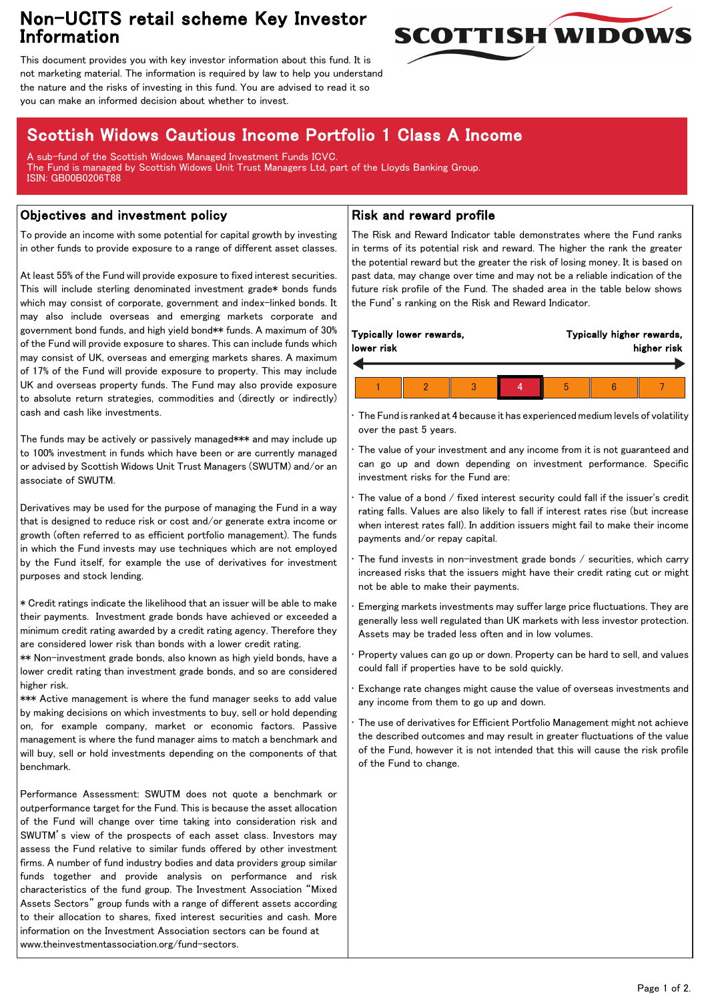## Non-UCITS retail scheme Key Investor Information



This document provides you with key investor information about this fund. It is not marketing material. The information is required by law to help you understand the nature and the risks of investing in this fund. You are advised to read it so you can make an informed decision about whether to invest.

# Scottish Widows Cautious Income Portfolio 1 Class A Income

A sub-fund of the Scottish Widows Managed Investment Funds ICVC. The Fund is managed by Scottish Widows Unit Trust Managers Ltd, part of the Lloyds Banking Group. ISIN: GB00B0206T88

### Objectives and investment policy

To provide an income with some potential for capital growth by investing in other funds to provide exposure to a range of different asset classes.

At least 55% of the Fund will provide exposure to fixed interest securities. This will include sterling denominated investment grade\* bonds funds which may consist of corporate, government and index-linked bonds. It may also include overseas and emerging markets corporate and government bond funds, and high yield bond\*\* funds. A maximum of 30% of the Fund will provide exposure to shares. This can include funds which may consist of UK, overseas and emerging markets shares. A maximum of 17% of the Fund will provide exposure to property. This may include UK and overseas property funds. The Fund may also provide exposure to absolute return strategies, commodities and (directly or indirectly) cash and cash like investments.

The funds may be actively or passively managed\*\*\* and may include up to 100% investment in funds which have been or are currently managed or advised by Scottish Widows Unit Trust Managers (SWUTM) and/or an associate of SWUTM.

Derivatives may be used for the purpose of managing the Fund in a way that is designed to reduce risk or cost and/or generate extra income or growth (often referred to as efficient portfolio management). The funds in which the Fund invests may use techniques which are not employed by the Fund itself, for example the use of derivatives for investment purposes and stock lending.

\* Credit ratings indicate the likelihood that an issuer will be able to make their payments. Investment grade bonds have achieved or exceeded a minimum credit rating awarded by a credit rating agency. Therefore they are considered lower risk than bonds with a lower credit rating.

\*\* Non-investment grade bonds, also known as high yield bonds, have a lower credit rating than investment grade bonds, and so are considered higher risk.

\*\*\* Active management is where the fund manager seeks to add value by making decisions on which investments to buy, sell or hold depending on, for example company, market or economic factors. Passive management is where the fund manager aims to match a benchmark and will buy, sell or hold investments depending on the components of that benchmark.

Performance Assessment: SWUTM does not quote a benchmark or outperformance target for the Fund. This is because the asset allocation of the Fund will change over time taking into consideration risk and SWUTM's view of the prospects of each asset class. Investors may assess the Fund relative to similar funds offered by other investment firms. A number of fund industry bodies and data providers group similar funds together and provide analysis on performance and risk characteristics of the fund group. The Investment Association "Mixed Assets Sectors" group funds with a range of different assets according to their allocation to shares, fixed interest securities and cash. More information on the Investment Association sectors can be found at www.theinvestmentassociation.org/fund-sectors.

#### Risk and reward profile

The Risk and Reward Indicator table demonstrates where the Fund ranks in terms of its potential risk and reward. The higher the rank the greater the potential reward but the greater the risk of losing money. It is based on past data, may change over time and may not be a reliable indication of the future risk profile of the Fund. The shaded area in the table below shows the Fund's ranking on the Risk and Reward Indicator.

| lower risk | Typically lower rewards, |  | Typically higher rewards,<br>higher risk |  |  |
|------------|--------------------------|--|------------------------------------------|--|--|
|            |                          |  |                                          |  |  |
|            |                          |  |                                          |  |  |

• The Fund is ranked at 4 because it has experienced medium levels of volatility over the past 5 years.

The value of your investment and any income from it is not guaranteed and can go up and down depending on investment performance. Specific investment risks for the Fund are:

• The value of a bond / fixed interest security could fall if the issuer's credit rating falls. Values are also likely to fall if interest rates rise (but increase when interest rates fall). In addition issuers might fail to make their income payments and/or repay capital.

The fund invests in non-investment grade bonds / securities, which carry increased risks that the issuers might have their credit rating cut or might not be able to make their payments.

• Emerging markets investments may suffer large price fluctuations. They are generally less well regulated than UK markets with less investor protection. Assets may be traded less often and in low volumes.

• Property values can go up or down. Property can be hard to sell, and values could fall if properties have to be sold quickly.

Exchange rate changes might cause the value of overseas investments and any income from them to go up and down.

• The use of derivatives for Efficient Portfolio Management might not achieve the described outcomes and may result in greater fluctuations of the value of the Fund, however it is not intended that this will cause the risk profile of the Fund to change.